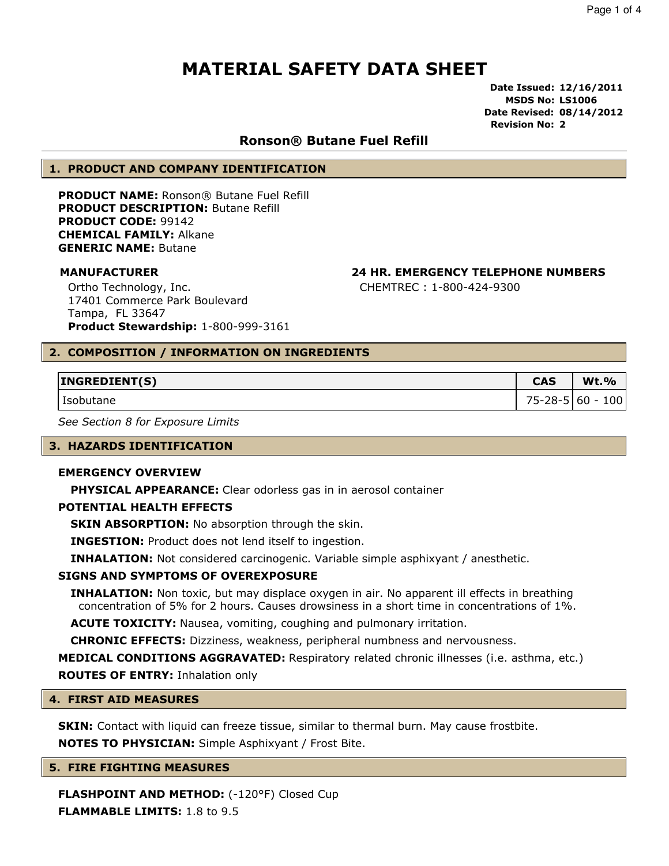Date Issued: 12/16/2011 MSDS No: LS1006 Date Revised: 08/14/2012 Revision No: 2

#### Ronson® Butane Fuel Refill

#### 1. PRODUCT AND COMPANY IDENTIFICATION

PRODUCT NAME: Ronson® Butane Fuel Refill PRODUCT DESCRIPTION: Butane Refill PRODUCT CODE: 99142 CHEMICAL FAMILY: Alkane GENERIC NAME: Butane

Ortho Technology, Inc. 17401 Commerce Park Boulevard Tampa, FL 33647 Product Stewardship: 1-800-999-3161

#### MANUFACTURER 24 HR. EMERGENCY TELEPHONE NUMBERS

CHEMTREC : 1-800-424-9300

#### 2. COMPOSITION / INFORMATION ON INGREDIENTS

| INGREDIENT(S) | <b>CAS</b>         | <b>Wt.%</b> |
|---------------|--------------------|-------------|
| Isobutane     | $75 - 28 - 5$ 60 - | 100         |

See Section 8 for Exposure Limits

#### 3. HAZARDS IDENTIFICATION

#### EMERGENCY OVERVIEW

**PHYSICAL APPEARANCE:** Clear odorless gas in in aerosol container

#### POTENTIAL HEALTH EFFECTS

**SKIN ABSORPTION:** No absorption through the skin.

INGESTION: Product does not lend itself to ingestion.

INHALATION: Not considered carcinogenic. Variable simple asphixyant / anesthetic.

#### SIGNS AND SYMPTOMS OF OVEREXPOSURE

**INHALATION:** Non toxic, but may displace oxygen in air. No apparent ill effects in breathing concentration of 5% for 2 hours. Causes drowsiness in a short time in concentrations of 1%.

ACUTE TOXICITY: Nausea, vomiting, coughing and pulmonary irritation.

CHRONIC EFFECTS: Dizziness, weakness, peripheral numbness and nervousness.

MEDICAL CONDITIONS AGGRAVATED: Respiratory related chronic illnesses (i.e. asthma, etc.) ROUTES OF ENTRY: Inhalation only

#### 4. FIRST AID MEASURES

**SKIN:** Contact with liquid can freeze tissue, similar to thermal burn. May cause frostbite. NOTES TO PHYSICIAN: Simple Asphixyant / Frost Bite.

#### 5. FIRE FIGHTING MEASURES

FLASHPOINT AND METHOD: (-120°F) Closed Cup FLAMMABLE LIMITS: 1.8 to 9.5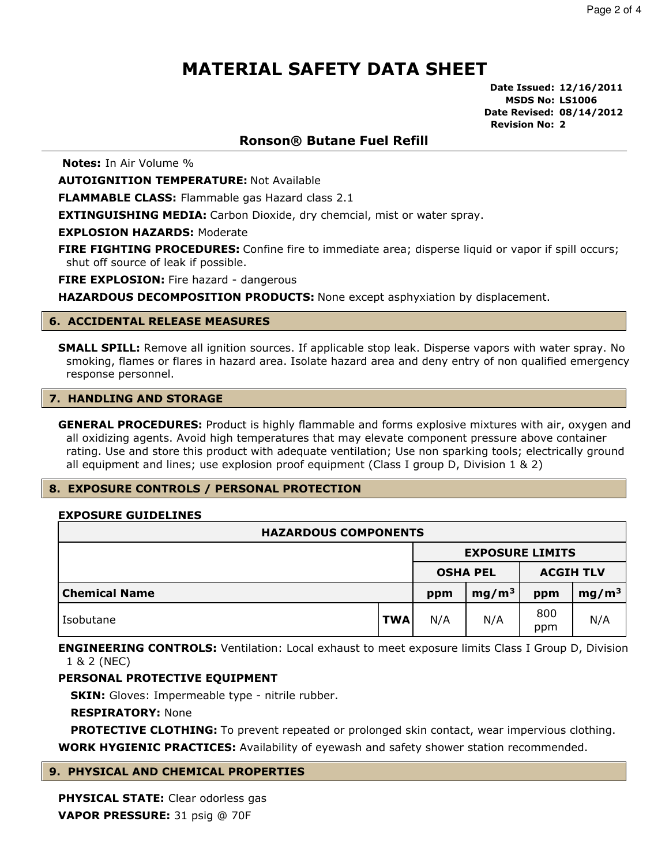Date Issued: 12/16/2011 MSDS No: LS1006 Date Revised: 08/14/2012 Revision No: 2

### Ronson® Butane Fuel Refill

Notes: In Air Volume %

**AUTOIGNITION TEMPERATURE: Not Available** 

FLAMMABLE CLASS: Flammable gas Hazard class 2.1

**EXTINGUISHING MEDIA:** Carbon Dioxide, dry chemcial, mist or water spray.

EXPLOSION HAZARDS: Moderate

FIRE FIGHTING PROCEDURES: Confine fire to immediate area; disperse liquid or vapor if spill occurs; shut off source of leak if possible.

**FIRE EXPLOSION:** Fire hazard - dangerous

**HAZARDOUS DECOMPOSITION PRODUCTS:** None except asphyxiation by displacement.

#### 6. ACCIDENTAL RELEASE MEASURES

SMALL SPILL: Remove all ignition sources. If applicable stop leak. Disperse vapors with water spray. No smoking, flames or flares in hazard area. Isolate hazard area and deny entry of non qualified emergency response personnel.

#### 7. HANDLING AND STORAGE

**GENERAL PROCEDURES:** Product is highly flammable and forms explosive mixtures with air, oxygen and all oxidizing agents. Avoid high temperatures that may elevate component pressure above container rating. Use and store this product with adequate ventilation; Use non sparking tools; electrically ground all equipment and lines; use explosion proof equipment (Class I group D, Division 1 & 2)

#### 8. EXPOSURE CONTROLS / PERSONAL PROTECTION

#### EXPOSURE GUIDELINES

| <b>HAZARDOUS COMPONENTS</b> |            |                        |                   |            |                   |  |  |
|-----------------------------|------------|------------------------|-------------------|------------|-------------------|--|--|
|                             |            | <b>EXPOSURE LIMITS</b> |                   |            |                   |  |  |
|                             |            |                        | <b>OSHA PEL</b>   |            | <b>ACGIH TLV</b>  |  |  |
| <b>Chemical Name</b>        |            | ppm                    | mg/m <sup>3</sup> | ppm        | mg/m <sup>3</sup> |  |  |
| Isobutane                   | <b>TWA</b> | N/A                    | N/A               | 800<br>ppm | N/A               |  |  |

**ENGINEERING CONTROLS:** Ventilation: Local exhaust to meet exposure limits Class I Group D, Division 1 & 2 (NEC)

#### PERSONAL PROTECTIVE EQUIPMENT

**SKIN:** Gloves: Impermeable type - nitrile rubber.

RESPIRATORY: None

**PROTECTIVE CLOTHING:** To prevent repeated or prolonged skin contact, wear impervious clothing. **WORK HYGIENIC PRACTICES:** Availability of eyewash and safety shower station recommended.

#### 9. PHYSICAL AND CHEMICAL PROPERTIES

PHYSICAL STATE: Clear odorless gas VAPOR PRESSURE: 31 psig @ 70F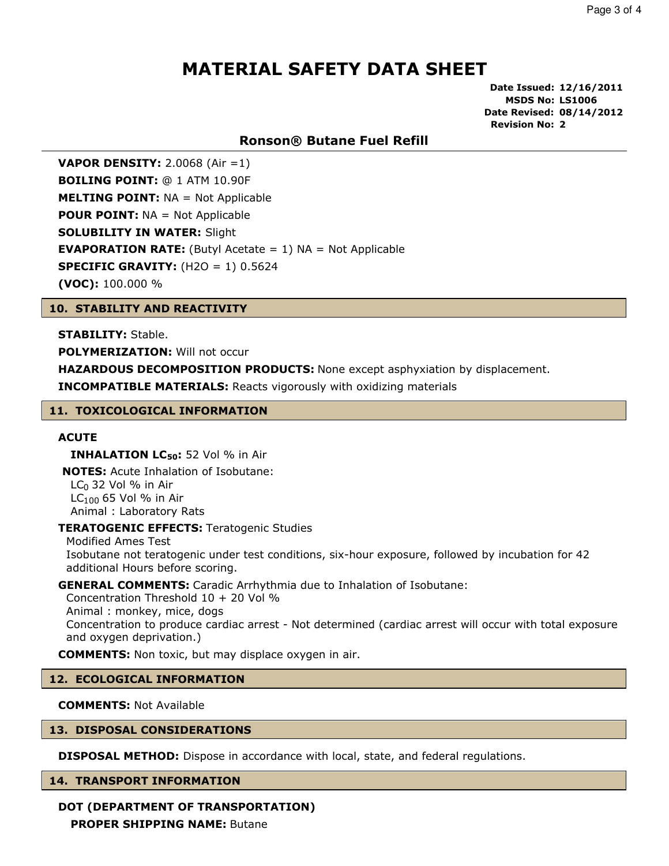Date Issued: 12/16/2011 MSDS No: LS1006 Date Revised: 08/14/2012 Revision No: 2

### Ronson® Butane Fuel Refill

**VAPOR DENSITY:** 2.0068 (Air = 1) BOILING POINT: @ 1 ATM 10.90F **MELTING POINT: NA = Not Applicable POUR POINT: NA = Not Applicable SOLUBILITY IN WATER: Slight EVAPORATION RATE:** (Butyl Acetate  $= 1$ ) NA  $=$  Not Applicable **SPECIFIC GRAVITY:**  $(H2O = 1) 0.5624$ (VOC): 100.000 %

#### 10. STABILITY AND REACTIVITY

STABILITY: Stable.

POLYMERIZATION: Will not occur

**HAZARDOUS DECOMPOSITION PRODUCTS:** None except asphyxiation by displacement.

INCOMPATIBLE MATERIALS: Reacts vigorously with oxidizing materials

#### 11. TOXICOLOGICAL INFORMATION

#### **ACUTE**

**INHALATION LC** $_{50}$ **:** 52 Vol % in Air

NOTES: Acute Inhalation of Isobutane:  $LC<sub>0</sub>$  32 Vol % in Air  $LC<sub>100</sub>$  65 Vol % in Air Animal : Laboratory Rats

#### **TERATOGENIC EFFECTS: Teratogenic Studies**

Modified Ames Test Isobutane not teratogenic under test conditions, six-hour exposure, followed by incubation for 42 additional Hours before scoring.

#### GENERAL COMMENTS: Caradic Arrhythmia due to Inhalation of Isobutane:

Concentration Threshold 10 + 20 Vol % Animal : monkey, mice, dogs Concentration to produce cardiac arrest - Not determined (cardiac arrest will occur with total exposure and oxygen deprivation.)

COMMENTS: Non toxic, but may displace oxygen in air.

#### 12. ECOLOGICAL INFORMATION

#### COMMENTS: Not Available

#### 13. DISPOSAL CONSIDERATIONS

**DISPOSAL METHOD:** Dispose in accordance with local, state, and federal regulations.

#### 14. TRANSPORT INFORMATION

### DOT (DEPARTMENT OF TRANSPORTATION)

PROPER SHIPPING NAME: Butane